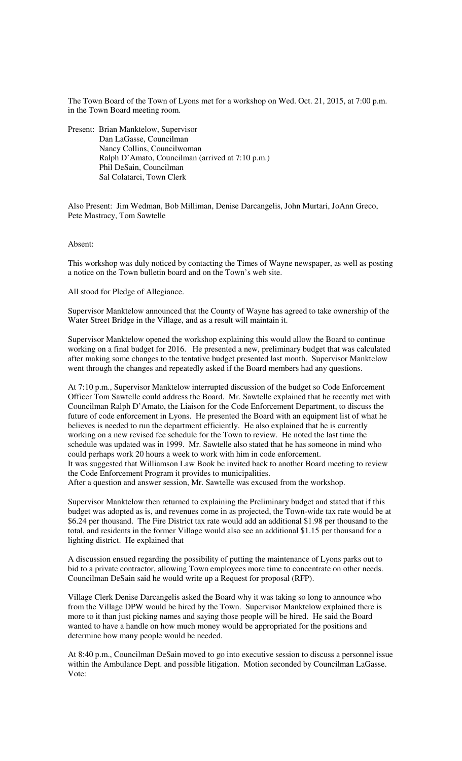The Town Board of the Town of Lyons met for a workshop on Wed. Oct. 21, 2015, at 7:00 p.m. in the Town Board meeting room.

Present: Brian Manktelow, Supervisor Dan LaGasse, Councilman Nancy Collins, Councilwoman Ralph D'Amato, Councilman (arrived at 7:10 p.m.) Phil DeSain, Councilman Sal Colatarci, Town Clerk

Also Present: Jim Wedman, Bob Milliman, Denise Darcangelis, John Murtari, JoAnn Greco, Pete Mastracy, Tom Sawtelle

## Absent:

This workshop was duly noticed by contacting the Times of Wayne newspaper, as well as posting a notice on the Town bulletin board and on the Town's web site.

All stood for Pledge of Allegiance.

Supervisor Manktelow announced that the County of Wayne has agreed to take ownership of the Water Street Bridge in the Village, and as a result will maintain it.

Supervisor Manktelow opened the workshop explaining this would allow the Board to continue working on a final budget for 2016. He presented a new, preliminary budget that was calculated after making some changes to the tentative budget presented last month. Supervisor Manktelow went through the changes and repeatedly asked if the Board members had any questions.

At 7:10 p.m., Supervisor Manktelow interrupted discussion of the budget so Code Enforcement Officer Tom Sawtelle could address the Board. Mr. Sawtelle explained that he recently met with Councilman Ralph D'Amato, the Liaison for the Code Enforcement Department, to discuss the future of code enforcement in Lyons. He presented the Board with an equipment list of what he believes is needed to run the department efficiently. He also explained that he is currently working on a new revised fee schedule for the Town to review. He noted the last time the schedule was updated was in 1999. Mr. Sawtelle also stated that he has someone in mind who could perhaps work 20 hours a week to work with him in code enforcement. It was suggested that Williamson Law Book be invited back to another Board meeting to review the Code Enforcement Program it provides to municipalities. After a question and answer session, Mr. Sawtelle was excused from the workshop.

Supervisor Manktelow then returned to explaining the Preliminary budget and stated that if this budget was adopted as is, and revenues come in as projected, the Town-wide tax rate would be at \$6.24 per thousand. The Fire District tax rate would add an additional \$1.98 per thousand to the total, and residents in the former Village would also see an additional \$1.15 per thousand for a lighting district. He explained that

A discussion ensued regarding the possibility of putting the maintenance of Lyons parks out to bid to a private contractor, allowing Town employees more time to concentrate on other needs. Councilman DeSain said he would write up a Request for proposal (RFP).

Village Clerk Denise Darcangelis asked the Board why it was taking so long to announce who from the Village DPW would be hired by the Town. Supervisor Manktelow explained there is more to it than just picking names and saying those people will be hired. He said the Board wanted to have a handle on how much money would be appropriated for the positions and determine how many people would be needed.

At 8:40 p.m., Councilman DeSain moved to go into executive session to discuss a personnel issue within the Ambulance Dept. and possible litigation. Motion seconded by Councilman LaGasse. Vote: